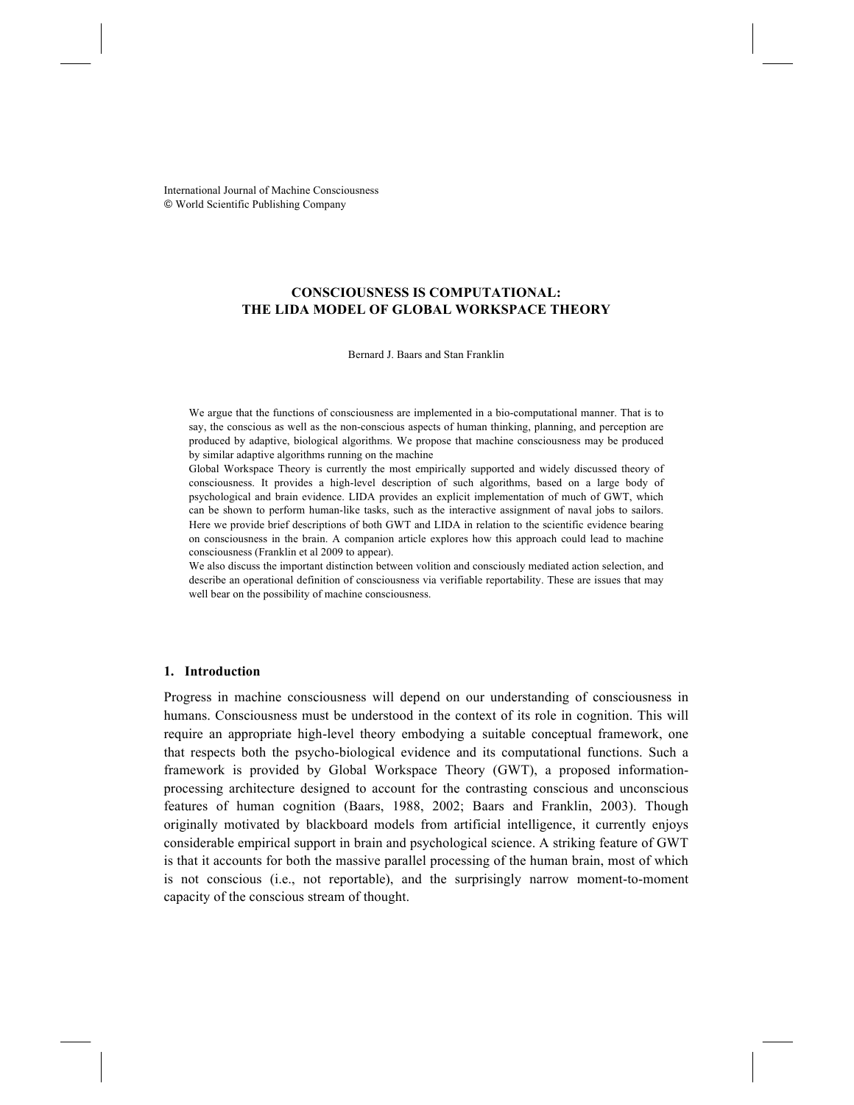International Journal of Machine Consciousness © World Scientific Publishing Company

# **CONSCIOUSNESS IS COMPUTATIONAL: THE LIDA MODEL OF GLOBAL WORKSPACE THEORY**

Bernard J. Baars and Stan Franklin

We argue that the functions of consciousness are implemented in a bio-computational manner. That is to say, the conscious as well as the non-conscious aspects of human thinking, planning, and perception are produced by adaptive, biological algorithms. We propose that machine consciousness may be produced by similar adaptive algorithms running on the machine

Global Workspace Theory is currently the most empirically supported and widely discussed theory of consciousness. It provides a high-level description of such algorithms, based on a large body of psychological and brain evidence. LIDA provides an explicit implementation of much of GWT, which can be shown to perform human-like tasks, such as the interactive assignment of naval jobs to sailors. Here we provide brief descriptions of both GWT and LIDA in relation to the scientific evidence bearing on consciousness in the brain. A companion article explores how this approach could lead to machine consciousness (Franklin et al 2009 to appear).

We also discuss the important distinction between volition and consciously mediated action selection, and describe an operational definition of consciousness via verifiable reportability. These are issues that may well bear on the possibility of machine consciousness.

# **1. Introduction**

Progress in machine consciousness will depend on our understanding of consciousness in humans. Consciousness must be understood in the context of its role in cognition. This will require an appropriate high-level theory embodying a suitable conceptual framework, one that respects both the psycho-biological evidence and its computational functions. Such a framework is provided by Global Workspace Theory (GWT), a proposed informationprocessing architecture designed to account for the contrasting conscious and unconscious features of human cognition (Baars, 1988, 2002; Baars and Franklin, 2003). Though originally motivated by blackboard models from artificial intelligence, it currently enjoys considerable empirical support in brain and psychological science. A striking feature of GWT is that it accounts for both the massive parallel processing of the human brain, most of which is not conscious (i.e., not reportable), and the surprisingly narrow moment-to-moment capacity of the conscious stream of thought.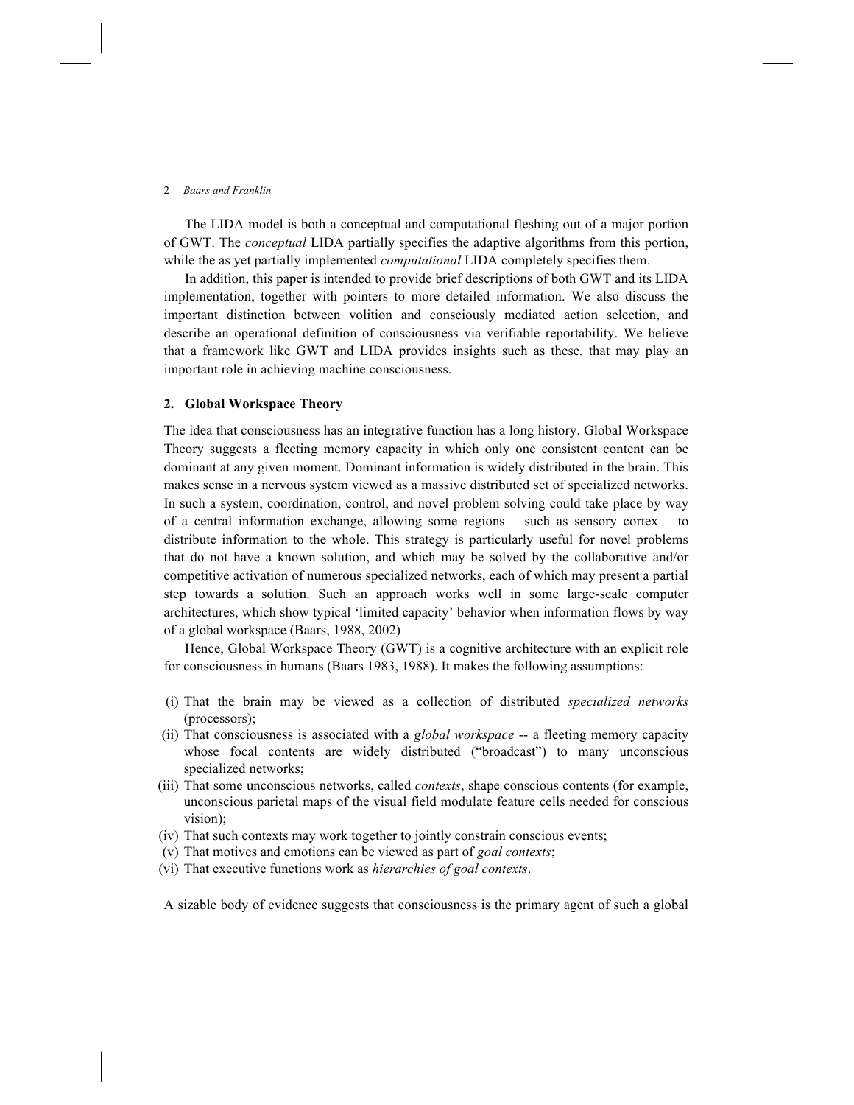The LIDA model is both a conceptual and computational fleshing out of a major portion of GWT. The *conceptual* LIDA partially specifies the adaptive algorithms from this portion, while the as yet partially implemented *computational* LIDA completely specifies them.

In addition, this paper is intended to provide brief descriptions of both GWT and its LIDA implementation, together with pointers to more detailed information. We also discuss the important distinction between volition and consciously mediated action selection, and describe an operational definition of consciousness via verifiable reportability. We believe that a framework like GWT and LIDA provides insights such as these, that may play an important role in achieving machine consciousness.

# **2. Global Workspace Theory**

The idea that consciousness has an integrative function has a long history. Global Workspace Theory suggests a fleeting memory capacity in which only one consistent content can be dominant at any given moment. Dominant information is widely distributed in the brain. This makes sense in a nervous system viewed as a massive distributed set of specialized networks. In such a system, coordination, control, and novel problem solving could take place by way of a central information exchange, allowing some regions – such as sensory cortex – to distribute information to the whole. This strategy is particularly useful for novel problems that do not have a known solution, and which may be solved by the collaborative and/or competitive activation of numerous specialized networks, each of which may present a partial step towards a solution. Such an approach works well in some large-scale computer architectures, which show typical 'limited capacity' behavior when information flows by way of a global workspace (Baars, 1988, 2002)

Hence, Global Workspace Theory (GWT) is a cognitive architecture with an explicit role for consciousness in humans (Baars 1983, 1988). It makes the following assumptions:

- (i) That the brain may be viewed as a collection of distributed *specialized networks* (processors);
- (ii) That consciousness is associated with a *global workspace* -- a fleeting memory capacity whose focal contents are widely distributed ("broadcast") to many unconscious specialized networks;
- (iii) That some unconscious networks, called *contexts*, shape conscious contents (for example, unconscious parietal maps of the visual field modulate feature cells needed for conscious vision);
- (iv) That such contexts may work together to jointly constrain conscious events;
- (v) That motives and emotions can be viewed as part of *goal contexts*;
- (vi) That executive functions work as *hierarchies of goal contexts*.

A sizable body of evidence suggests that consciousness is the primary agent of such a global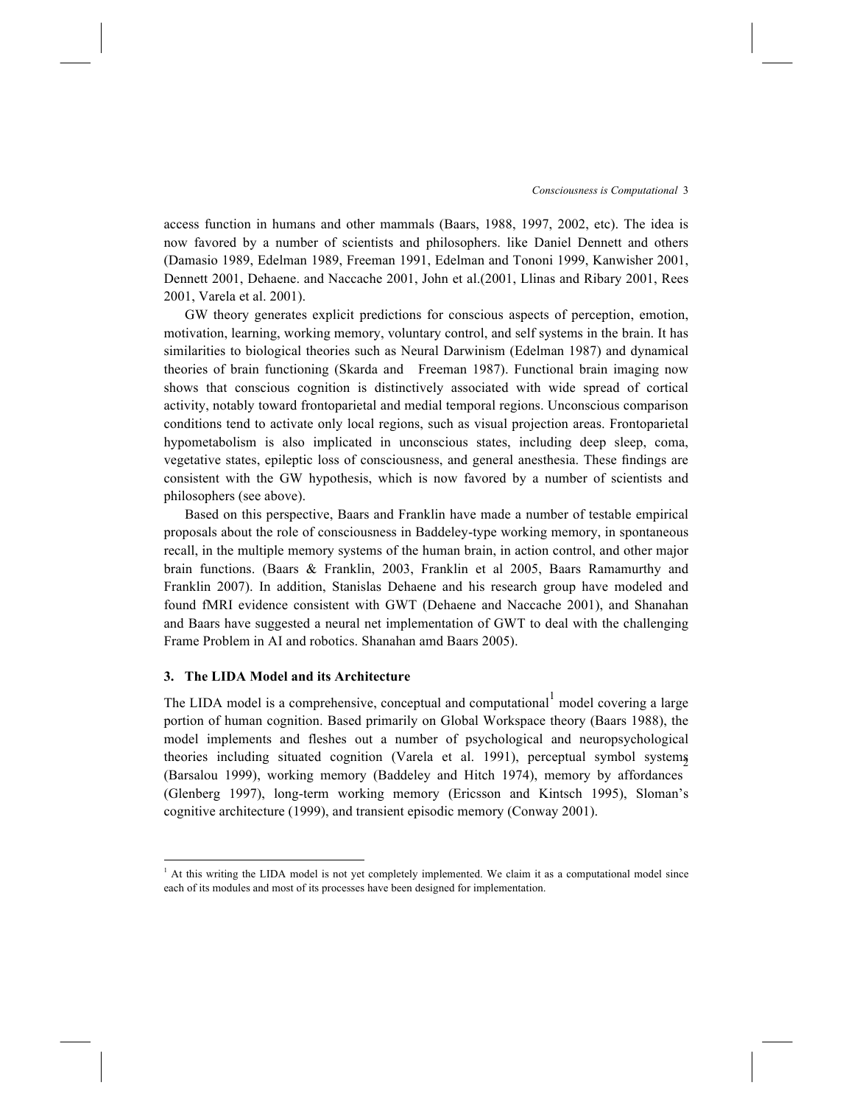access function in humans and other mammals (Baars, 1988, 1997, 2002, etc). The idea is now favored by a number of scientists and philosophers. like Daniel Dennett and others (Damasio 1989, Edelman 1989, Freeman 1991, Edelman and Tononi 1999, Kanwisher 2001, Dennett 2001, Dehaene. and Naccache 2001, John et al.(2001, Llinas and Ribary 2001, Rees 2001, Varela et al. 2001).

GW theory generates explicit predictions for conscious aspects of perception, emotion, motivation, learning, working memory, voluntary control, and self systems in the brain. It has similarities to biological theories such as Neural Darwinism (Edelman 1987) and dynamical theories of brain functioning (Skarda and Freeman 1987). Functional brain imaging now shows that conscious cognition is distinctively associated with wide spread of cortical activity, notably toward frontoparietal and medial temporal regions. Unconscious comparison conditions tend to activate only local regions, such as visual projection areas. Frontoparietal hypometabolism is also implicated in unconscious states, including deep sleep, coma, vegetative states, epileptic loss of consciousness, and general anesthesia. These findings are consistent with the GW hypothesis, which is now favored by a number of scientists and philosophers (see above).

Based on this perspective, Baars and Franklin have made a number of testable empirical proposals about the role of consciousness in Baddeley-type working memory, in spontaneous recall, in the multiple memory systems of the human brain, in action control, and other major brain functions. (Baars & Franklin, 2003, Franklin et al 2005, Baars Ramamurthy and Franklin 2007). In addition, Stanislas Dehaene and his research group have modeled and found fMRI evidence consistent with GWT (Dehaene and Naccache 2001), and Shanahan and Baars have suggested a neural net implementation of GWT to deal with the challenging Frame Problem in AI and robotics. Shanahan amd Baars 2005).

### **3. The LIDA Model and its Architecture**

The LIDA model is a comprehensive, conceptual and computational  $1$  model covering a large portion of human cognition. Based primarily on Global Workspace theory (Baars 1988), the model implements and fleshes out a number of psychological and neuropsychological theories including situated cognition (Varela et al. 1991), perceptual symbol systems (Barsalou 1999), working memory (Baddeley and Hitch 1974), memory by affordances (Glenberg 1997), long-term working memory (Ericsson and Kintsch 1995), Sloman's cognitive architecture (1999), and transient episodic memory (Conway 2001).

 $<sup>1</sup>$  At this writing the LIDA model is not yet completely implemented. We claim it as a computational model since</sup> each of its modules and most of its processes have been designed for implementation.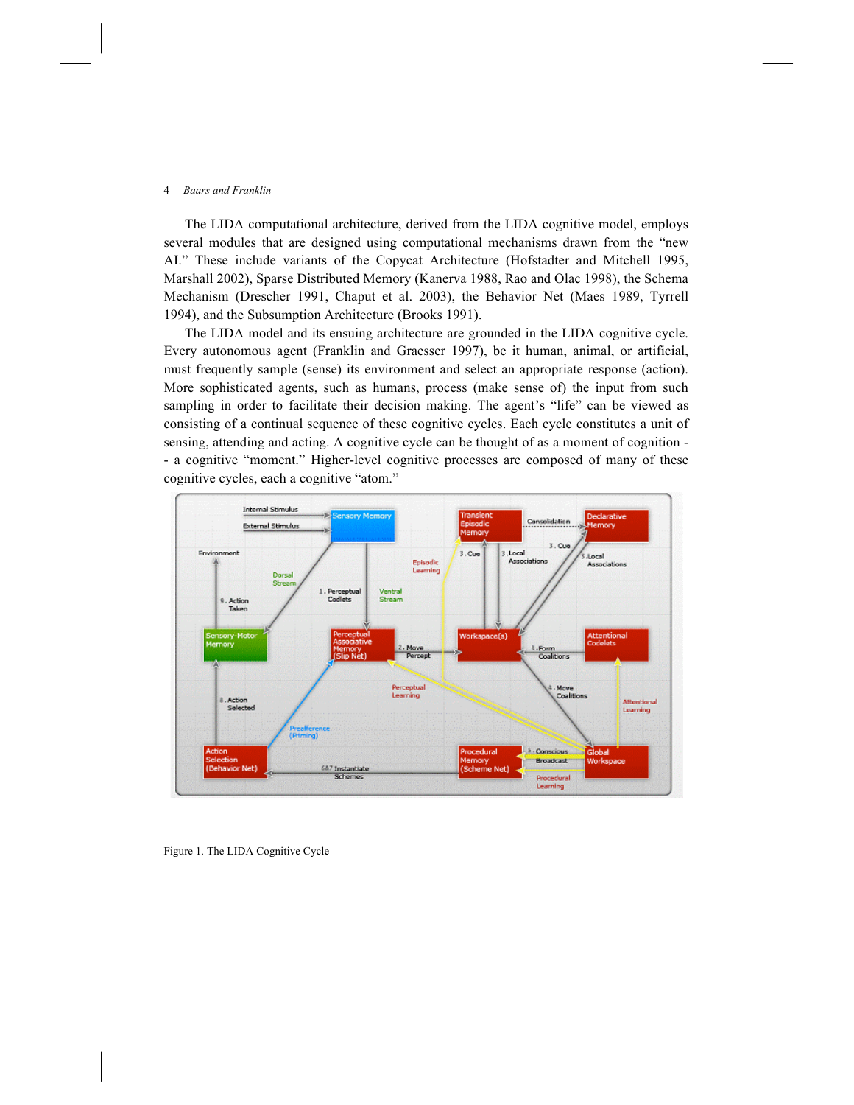The LIDA computational architecture, derived from the LIDA cognitive model, employs several modules that are designed using computational mechanisms drawn from the "new AI." These include variants of the Copycat Architecture (Hofstadter and Mitchell 1995, Marshall 2002), Sparse Distributed Memory (Kanerva 1988, Rao and Olac 1998), the Schema Mechanism (Drescher 1991, Chaput et al. 2003), the Behavior Net (Maes 1989, Tyrrell 1994), and the Subsumption Architecture (Brooks 1991).

The LIDA model and its ensuing architecture are grounded in the LIDA cognitive cycle. Every autonomous agent (Franklin and Graesser 1997), be it human, animal, or artificial, must frequently sample (sense) its environment and select an appropriate response (action). More sophisticated agents, such as humans, process (make sense of) the input from such sampling in order to facilitate their decision making. The agent's "life" can be viewed as consisting of a continual sequence of these cognitive cycles. Each cycle constitutes a unit of sensing, attending and acting. A cognitive cycle can be thought of as a moment of cognition - - a cognitive "moment." Higher-level cognitive processes are composed of many of these cognitive cycles, each a cognitive "atom."



Figure 1. The LIDA Cognitive Cycle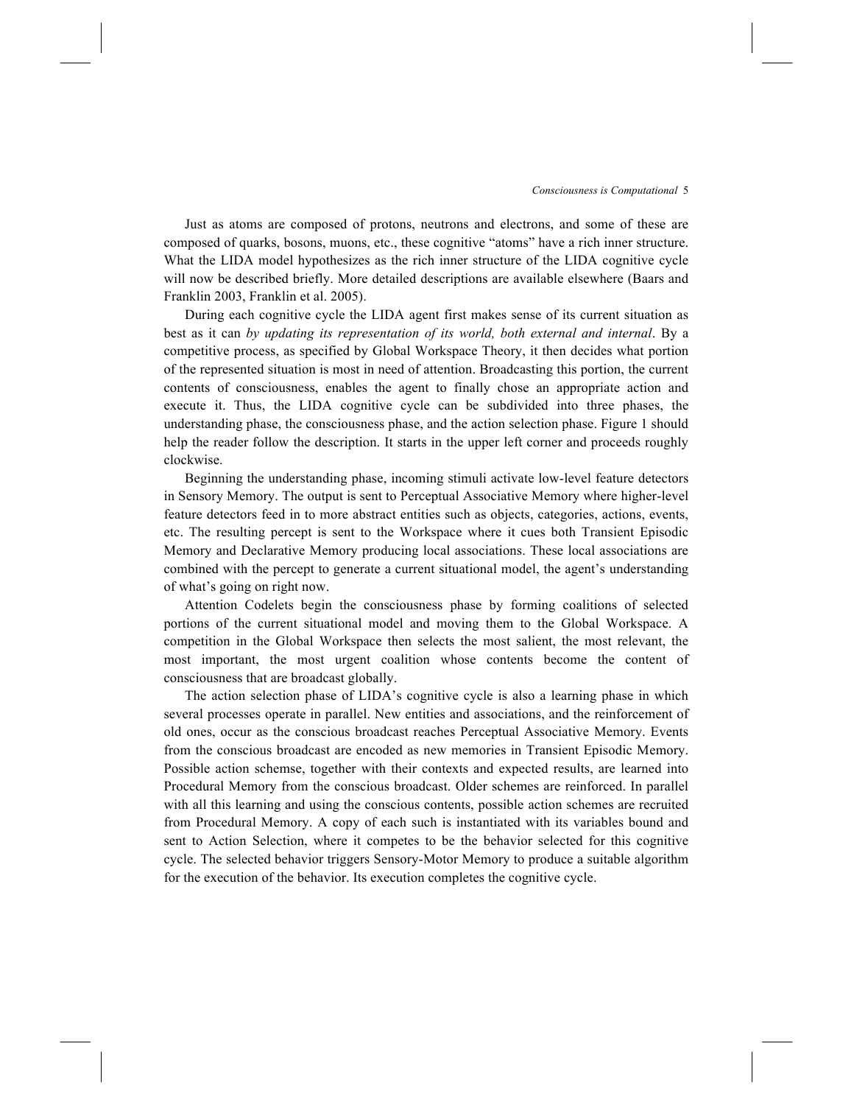Just as atoms are composed of protons, neutrons and electrons, and some of these are composed of quarks, bosons, muons, etc., these cognitive "atoms" have a rich inner structure. What the LIDA model hypothesizes as the rich inner structure of the LIDA cognitive cycle will now be described briefly. More detailed descriptions are available elsewhere (Baars and Franklin 2003, Franklin et al. 2005).

During each cognitive cycle the LIDA agent first makes sense of its current situation as best as it can *by updating its representation of its world, both external and internal*. By a competitive process, as specified by Global Workspace Theory, it then decides what portion of the represented situation is most in need of attention. Broadcasting this portion, the current contents of consciousness, enables the agent to finally chose an appropriate action and execute it. Thus, the LIDA cognitive cycle can be subdivided into three phases, the understanding phase, the consciousness phase, and the action selection phase. Figure 1 should help the reader follow the description. It starts in the upper left corner and proceeds roughly clockwise.

Beginning the understanding phase, incoming stimuli activate low-level feature detectors in Sensory Memory. The output is sent to Perceptual Associative Memory where higher-level feature detectors feed in to more abstract entities such as objects, categories, actions, events, etc. The resulting percept is sent to the Workspace where it cues both Transient Episodic Memory and Declarative Memory producing local associations. These local associations are combined with the percept to generate a current situational model, the agent's understanding of what's going on right now.

Attention Codelets begin the consciousness phase by forming coalitions of selected portions of the current situational model and moving them to the Global Workspace. A competition in the Global Workspace then selects the most salient, the most relevant, the most important, the most urgent coalition whose contents become the content of consciousness that are broadcast globally.

The action selection phase of LIDA's cognitive cycle is also a learning phase in which several processes operate in parallel. New entities and associations, and the reinforcement of old ones, occur as the conscious broadcast reaches Perceptual Associative Memory. Events from the conscious broadcast are encoded as new memories in Transient Episodic Memory. Possible action schemse, together with their contexts and expected results, are learned into Procedural Memory from the conscious broadcast. Older schemes are reinforced. In parallel with all this learning and using the conscious contents, possible action schemes are recruited from Procedural Memory. A copy of each such is instantiated with its variables bound and sent to Action Selection, where it competes to be the behavior selected for this cognitive cycle. The selected behavior triggers Sensory-Motor Memory to produce a suitable algorithm for the execution of the behavior. Its execution completes the cognitive cycle.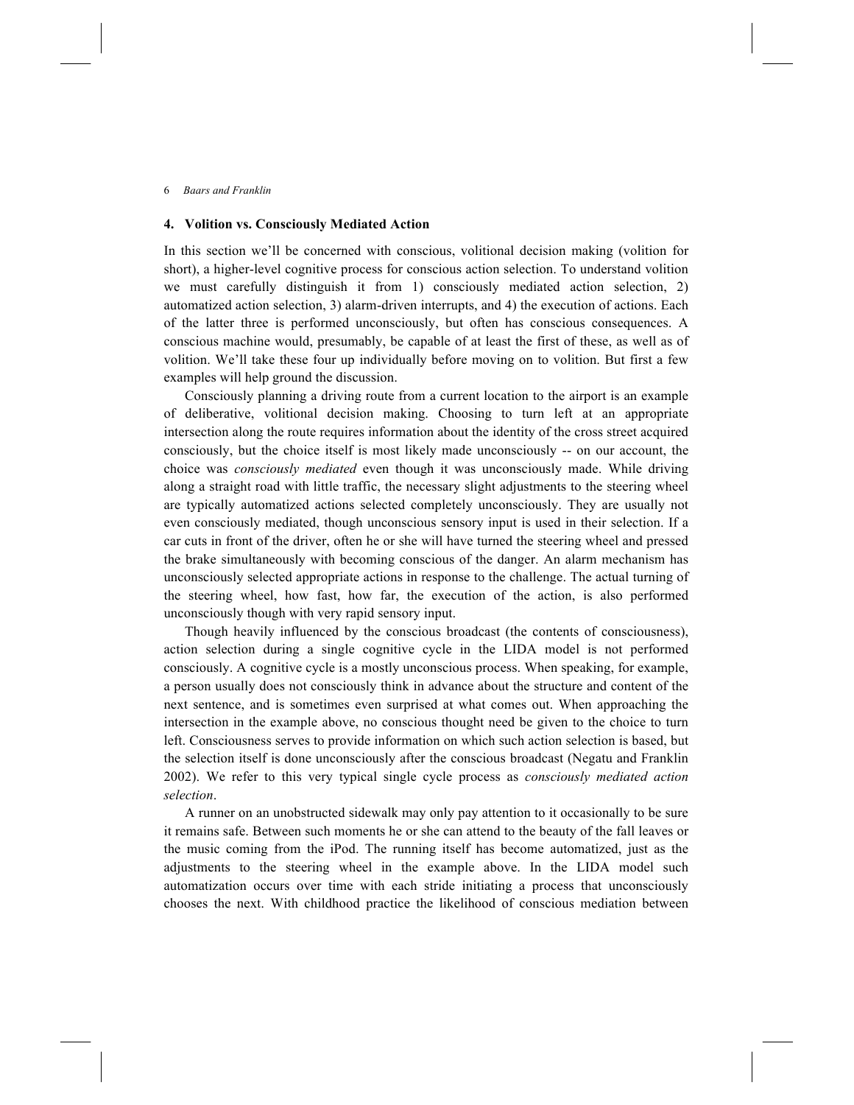## **4. Volition vs. Consciously Mediated Action**

In this section we'll be concerned with conscious, volitional decision making (volition for short), a higher-level cognitive process for conscious action selection. To understand volition we must carefully distinguish it from 1) consciously mediated action selection, 2) automatized action selection, 3) alarm-driven interrupts, and 4) the execution of actions. Each of the latter three is performed unconsciously, but often has conscious consequences. A conscious machine would, presumably, be capable of at least the first of these, as well as of volition. We'll take these four up individually before moving on to volition. But first a few examples will help ground the discussion.

Consciously planning a driving route from a current location to the airport is an example of deliberative, volitional decision making. Choosing to turn left at an appropriate intersection along the route requires information about the identity of the cross street acquired consciously, but the choice itself is most likely made unconsciously -- on our account, the choice was *consciously mediated* even though it was unconsciously made. While driving along a straight road with little traffic, the necessary slight adjustments to the steering wheel are typically automatized actions selected completely unconsciously. They are usually not even consciously mediated, though unconscious sensory input is used in their selection. If a car cuts in front of the driver, often he or she will have turned the steering wheel and pressed the brake simultaneously with becoming conscious of the danger. An alarm mechanism has unconsciously selected appropriate actions in response to the challenge. The actual turning of the steering wheel, how fast, how far, the execution of the action, is also performed unconsciously though with very rapid sensory input.

Though heavily influenced by the conscious broadcast (the contents of consciousness), action selection during a single cognitive cycle in the LIDA model is not performed consciously. A cognitive cycle is a mostly unconscious process. When speaking, for example, a person usually does not consciously think in advance about the structure and content of the next sentence, and is sometimes even surprised at what comes out. When approaching the intersection in the example above, no conscious thought need be given to the choice to turn left. Consciousness serves to provide information on which such action selection is based, but the selection itself is done unconsciously after the conscious broadcast (Negatu and Franklin 2002). We refer to this very typical single cycle process as *consciously mediated action selection*.

A runner on an unobstructed sidewalk may only pay attention to it occasionally to be sure it remains safe. Between such moments he or she can attend to the beauty of the fall leaves or the music coming from the iPod. The running itself has become automatized, just as the adjustments to the steering wheel in the example above. In the LIDA model such automatization occurs over time with each stride initiating a process that unconsciously chooses the next. With childhood practice the likelihood of conscious mediation between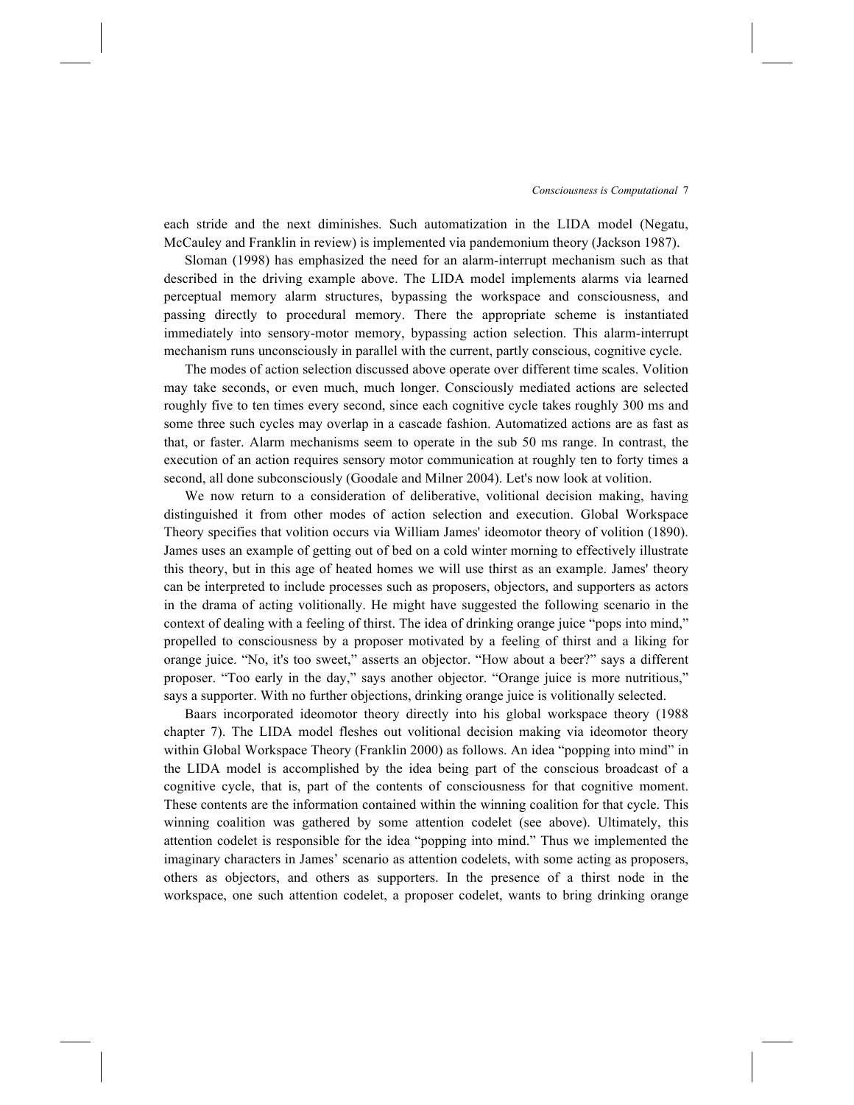#### *Consciousness is Computational* 7

each stride and the next diminishes. Such automatization in the LIDA model (Negatu, McCauley and Franklin in review) is implemented via pandemonium theory (Jackson 1987).

Sloman (1998) has emphasized the need for an alarm-interrupt mechanism such as that described in the driving example above. The LIDA model implements alarms via learned perceptual memory alarm structures, bypassing the workspace and consciousness, and passing directly to procedural memory. There the appropriate scheme is instantiated immediately into sensory-motor memory, bypassing action selection. This alarm-interrupt mechanism runs unconsciously in parallel with the current, partly conscious, cognitive cycle.

The modes of action selection discussed above operate over different time scales. Volition may take seconds, or even much, much longer. Consciously mediated actions are selected roughly five to ten times every second, since each cognitive cycle takes roughly 300 ms and some three such cycles may overlap in a cascade fashion. Automatized actions are as fast as that, or faster. Alarm mechanisms seem to operate in the sub 50 ms range. In contrast, the execution of an action requires sensory motor communication at roughly ten to forty times a second, all done subconsciously (Goodale and Milner 2004). Let's now look at volition.

We now return to a consideration of deliberative, volitional decision making, having distinguished it from other modes of action selection and execution. Global Workspace Theory specifies that volition occurs via William James' ideomotor theory of volition (1890). James uses an example of getting out of bed on a cold winter morning to effectively illustrate this theory, but in this age of heated homes we will use thirst as an example. James' theory can be interpreted to include processes such as proposers, objectors, and supporters as actors in the drama of acting volitionally. He might have suggested the following scenario in the context of dealing with a feeling of thirst. The idea of drinking orange juice "pops into mind," propelled to consciousness by a proposer motivated by a feeling of thirst and a liking for orange juice. "No, it's too sweet," asserts an objector. "How about a beer?" says a different proposer. "Too early in the day," says another objector. "Orange juice is more nutritious," says a supporter. With no further objections, drinking orange juice is volitionally selected.

Baars incorporated ideomotor theory directly into his global workspace theory (1988 chapter 7). The LIDA model fleshes out volitional decision making via ideomotor theory within Global Workspace Theory (Franklin 2000) as follows. An idea "popping into mind" in the LIDA model is accomplished by the idea being part of the conscious broadcast of a cognitive cycle, that is, part of the contents of consciousness for that cognitive moment. These contents are the information contained within the winning coalition for that cycle. This winning coalition was gathered by some attention codelet (see above). Ultimately, this attention codelet is responsible for the idea "popping into mind." Thus we implemented the imaginary characters in James' scenario as attention codelets, with some acting as proposers, others as objectors, and others as supporters. In the presence of a thirst node in the workspace, one such attention codelet, a proposer codelet, wants to bring drinking orange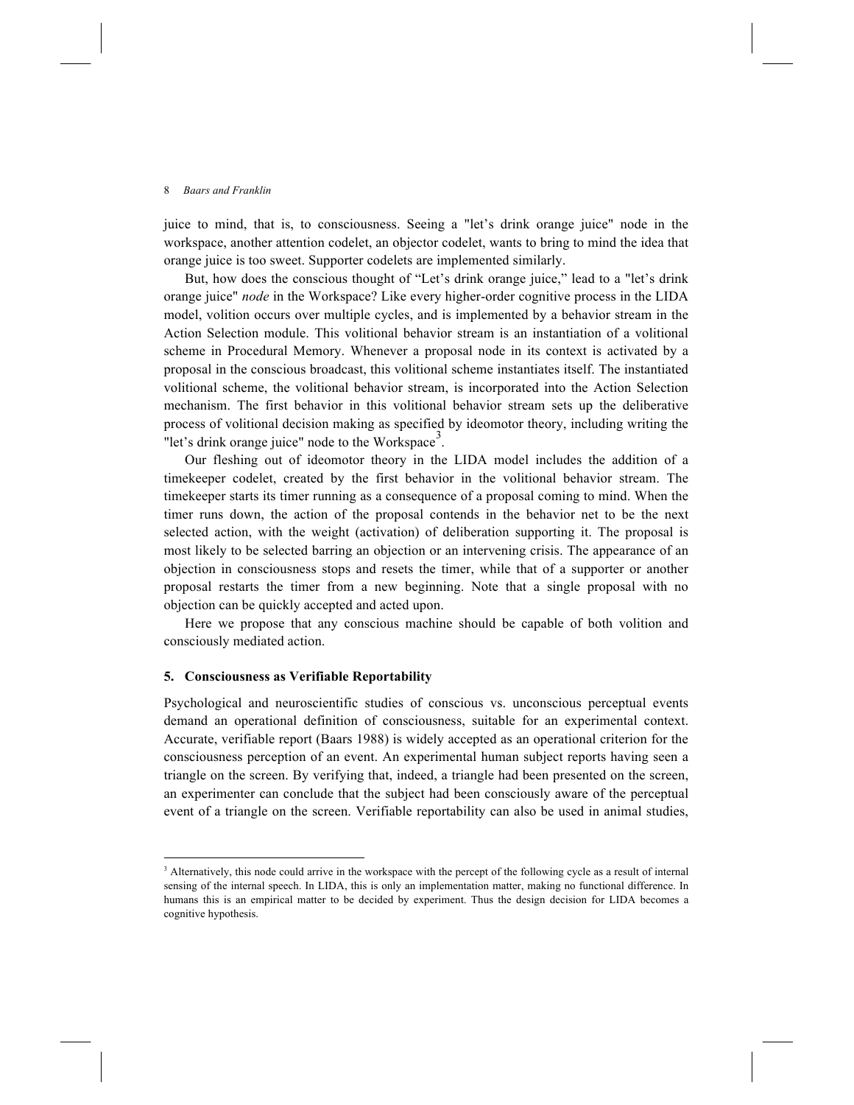juice to mind, that is, to consciousness. Seeing a "let's drink orange juice" node in the workspace, another attention codelet, an objector codelet, wants to bring to mind the idea that orange juice is too sweet. Supporter codelets are implemented similarly.

But, how does the conscious thought of "Let's drink orange juice," lead to a "let's drink orange juice" *node* in the Workspace? Like every higher-order cognitive process in the LIDA model, volition occurs over multiple cycles, and is implemented by a behavior stream in the Action Selection module. This volitional behavior stream is an instantiation of a volitional scheme in Procedural Memory. Whenever a proposal node in its context is activated by a proposal in the conscious broadcast, this volitional scheme instantiates itself. The instantiated volitional scheme, the volitional behavior stream, is incorporated into the Action Selection mechanism. The first behavior in this volitional behavior stream sets up the deliberative process of volitional decision making as specified by ideomotor theory, including writing the "let's drink orange juice" node to the Workspace<sup>3</sup>.

Our fleshing out of ideomotor theory in the LIDA model includes the addition of a timekeeper codelet, created by the first behavior in the volitional behavior stream. The timekeeper starts its timer running as a consequence of a proposal coming to mind. When the timer runs down, the action of the proposal contends in the behavior net to be the next selected action, with the weight (activation) of deliberation supporting it. The proposal is most likely to be selected barring an objection or an intervening crisis. The appearance of an objection in consciousness stops and resets the timer, while that of a supporter or another proposal restarts the timer from a new beginning. Note that a single proposal with no objection can be quickly accepted and acted upon.

Here we propose that any conscious machine should be capable of both volition and consciously mediated action.

### **5. Consciousness as Verifiable Reportability**

Psychological and neuroscientific studies of conscious vs. unconscious perceptual events demand an operational definition of consciousness, suitable for an experimental context. Accurate, verifiable report (Baars 1988) is widely accepted as an operational criterion for the consciousness perception of an event. An experimental human subject reports having seen a triangle on the screen. By verifying that, indeed, a triangle had been presented on the screen, an experimenter can conclude that the subject had been consciously aware of the perceptual event of a triangle on the screen. Verifiable reportability can also be used in animal studies,

<sup>-&</sup>lt;br>3 <sup>3</sup> Alternatively, this node could arrive in the workspace with the percept of the following cycle as a result of internal sensing of the internal speech. In LIDA, this is only an implementation matter, making no functional difference. In humans this is an empirical matter to be decided by experiment. Thus the design decision for LIDA becomes a cognitive hypothesis.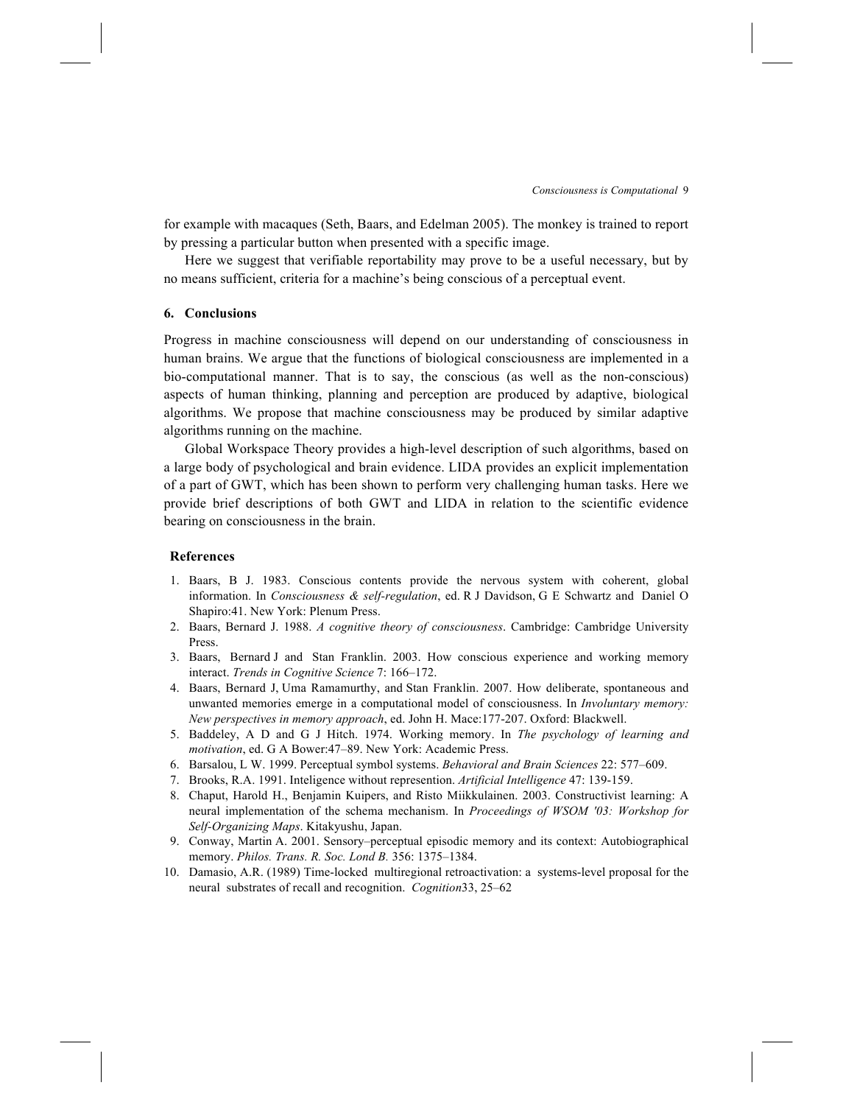for example with macaques (Seth, Baars, and Edelman 2005). The monkey is trained to report by pressing a particular button when presented with a specific image.

Here we suggest that verifiable reportability may prove to be a useful necessary, but by no means sufficient, criteria for a machine's being conscious of a perceptual event.

### **6. Conclusions**

Progress in machine consciousness will depend on our understanding of consciousness in human brains. We argue that the functions of biological consciousness are implemented in a bio-computational manner. That is to say, the conscious (as well as the non-conscious) aspects of human thinking, planning and perception are produced by adaptive, biological algorithms. We propose that machine consciousness may be produced by similar adaptive algorithms running on the machine.

Global Workspace Theory provides a high-level description of such algorithms, based on a large body of psychological and brain evidence. LIDA provides an explicit implementation of a part of GWT, which has been shown to perform very challenging human tasks. Here we provide brief descriptions of both GWT and LIDA in relation to the scientific evidence bearing on consciousness in the brain.

# **References**

- 1. Baars, B J. 1983. Conscious contents provide the nervous system with coherent, global information. In *Consciousness & self-regulation*, ed. R J Davidson, G E Schwartz and Daniel O Shapiro:41. New York: Plenum Press.
- 2. Baars, Bernard J. 1988. *A cognitive theory of consciousness*. Cambridge: Cambridge University Press.
- 3. Baars, Bernard J and Stan Franklin. 2003. How conscious experience and working memory interact. *Trends in Cognitive Science* 7: 166–172.
- 4. Baars, Bernard J, Uma Ramamurthy, and Stan Franklin. 2007. How deliberate, spontaneous and unwanted memories emerge in a computational model of consciousness. In *Involuntary memory: New perspectives in memory approach*, ed. John H. Mace:177-207. Oxford: Blackwell.
- 5. Baddeley, A D and G J Hitch. 1974. Working memory. In *The psychology of learning and motivation*, ed. G A Bower:47–89. New York: Academic Press.
- 6. Barsalou, L W. 1999. Perceptual symbol systems. *Behavioral and Brain Sciences* 22: 577–609.
- 7. Brooks, R.A. 1991. Inteligence without represention. *Artificial Intelligence* 47: 139-159.
- 8. Chaput, Harold H., Benjamin Kuipers, and Risto Miikkulainen. 2003. Constructivist learning: A neural implementation of the schema mechanism. In *Proceedings of WSOM '03: Workshop for Self-Organizing Maps*. Kitakyushu, Japan.
- 9. Conway, Martin A. 2001. Sensory–perceptual episodic memory and its context: Autobiographical memory. *Philos. Trans. R. Soc. Lond B.* 356: 1375–1384.
- 10. Damasio, A.R. (1989) Time-locked multiregional retroactivation: a systems-level proposal for the neural substrates of recall and recognition. *Cognition*33, 25–62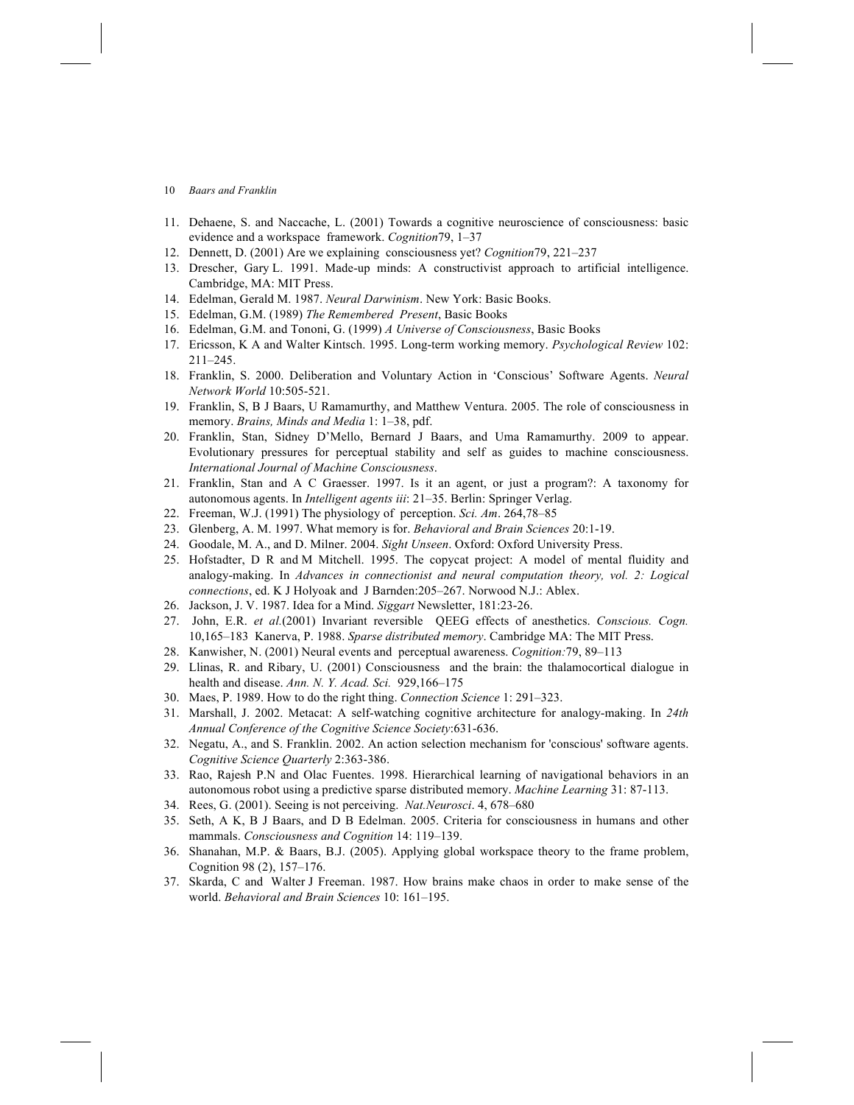- 11. Dehaene, S. and Naccache, L. (2001) Towards a cognitive neuroscience of consciousness: basic evidence and a workspace framework. *Cognition*79, 1–37
- 12. Dennett, D. (2001) Are we explaining consciousness yet? *Cognition*79, 221–237
- 13. Drescher, Gary L. 1991. Made-up minds: A constructivist approach to artificial intelligence. Cambridge, MA: MIT Press.
- 14. Edelman, Gerald M. 1987. *Neural Darwinism*. New York: Basic Books.
- 15. Edelman, G.M. (1989) *The Remembered Present*, Basic Books
- 16. Edelman, G.M. and Tononi, G. (1999) *A Universe of Consciousness*, Basic Books
- 17. Ericsson, K A and Walter Kintsch. 1995. Long-term working memory. *Psychological Review* 102: 211–245.
- 18. Franklin, S. 2000. Deliberation and Voluntary Action in 'Conscious' Software Agents. *Neural Network World* 10:505-521.
- 19. Franklin, S, B J Baars, U Ramamurthy, and Matthew Ventura. 2005. The role of consciousness in memory. *Brains, Minds and Media* 1: 1–38, pdf.
- 20. Franklin, Stan, Sidney D'Mello, Bernard J Baars, and Uma Ramamurthy. 2009 to appear. Evolutionary pressures for perceptual stability and self as guides to machine consciousness. *International Journal of Machine Consciousness*.
- 21. Franklin, Stan and A C Graesser. 1997. Is it an agent, or just a program?: A taxonomy for autonomous agents. In *Intelligent agents iii*: 21–35. Berlin: Springer Verlag.
- 22. Freeman, W.J. (1991) The physiology of perception. *Sci. Am*. 264,78–85
- 23. Glenberg, A. M. 1997. What memory is for. *Behavioral and Brain Sciences* 20:1-19.
- 24. Goodale, M. A., and D. Milner. 2004. *Sight Unseen*. Oxford: Oxford University Press.
- 25. Hofstadter, D R and M Mitchell. 1995. The copycat project: A model of mental fluidity and analogy-making. In *Advances in connectionist and neural computation theory, vol. 2: Logical connections*, ed. K J Holyoak and J Barnden:205–267. Norwood N.J.: Ablex.
- 26. Jackson, J. V. 1987. Idea for a Mind. *Siggart* Newsletter, 181:23-26.
- 27. John, E.R. *et al.*(2001) Invariant reversible QEEG effects of anesthetics. *Conscious. Cogn.* 10,165–183 Kanerva, P. 1988. *Sparse distributed memory*. Cambridge MA: The MIT Press.
- 28. Kanwisher, N. (2001) Neural events and perceptual awareness. *Cognition:*79, 89–113
- 29. Llinas, R. and Ribary, U. (2001) Consciousness and the brain: the thalamocortical dialogue in health and disease. *Ann. N. Y. Acad. Sci.* 929,166–175
- 30. Maes, P. 1989. How to do the right thing. *Connection Science* 1: 291–323.
- 31. Marshall, J. 2002. Metacat: A self-watching cognitive architecture for analogy-making. In *24th Annual Conference of the Cognitive Science Society*:631-636.
- 32. Negatu, A., and S. Franklin. 2002. An action selection mechanism for 'conscious' software agents. *Cognitive Science Quarterly* 2:363-386.
- 33. Rao, Rajesh P.N and Olac Fuentes. 1998. Hierarchical learning of navigational behaviors in an autonomous robot using a predictive sparse distributed memory. *Machine Learning* 31: 87-113.
- 34. Rees, G. (2001). Seeing is not perceiving. *Nat.Neurosci*. 4, 678–680
- 35. Seth, A K, B J Baars, and D B Edelman. 2005. Criteria for consciousness in humans and other mammals. *Consciousness and Cognition* 14: 119–139.
- 36. Shanahan, M.P. & Baars, B.J. (2005). Applying global workspace theory to the frame problem, Cognition 98 (2), 157–176.
- 37. Skarda, C and Walter J Freeman. 1987. How brains make chaos in order to make sense of the world. *Behavioral and Brain Sciences* 10: 161–195.